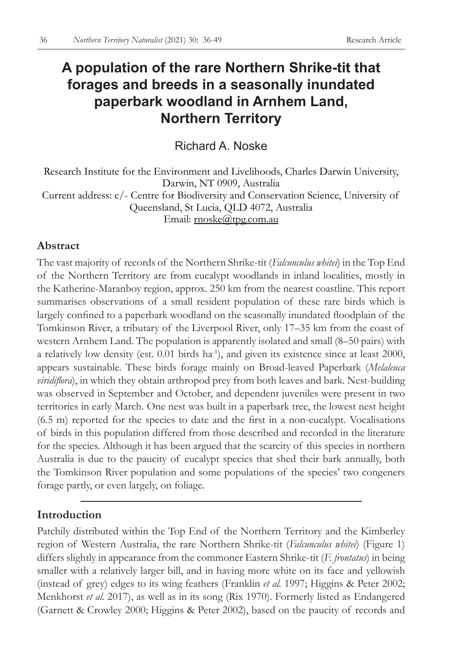# **A population of the rare Northern Shrike-tit that forages and breeds in a seasonally inundated paperbark woodland in Arnhem Land, Northern Territory**

Richard A. Noske

Research Institute for the Environment and Livelihoods, Charles Darwin University, Darwin, NT 0909, Australia Current address: c/- Centre for Biodiversity and Conservation Science, University of Queensland, St Lucia, QLD 4072, Australia Email: rnoske@tpg.com.au

### **Abstract**

The vast majority of records of the Northern Shrike-tit (*Falcunculus whitei*) in the Top End of the Northern Territory are from eucalypt woodlands in inland localities, mostly in the Katherine-Maranboy region, approx. 250 km from the nearest coastline. This report summarises observations of a small resident population of these rare birds which is largely confined to a paperbark woodland on the seasonally inundated floodplain of the Tomkinson River, a tributary of the Liverpool River, only 17–35 km from the coast of western Arnhem Land. The population is apparently isolated and small (8–50 pairs) with a relatively low density (est.  $0.01$  birds ha<sup>-1</sup>), and given its existence since at least  $2000$ , appears sustainable. These birds forage mainly on Broad-leaved Paperbark (*Melaleuca viridiflora*), in which they obtain arthropod prey from both leaves and bark. Nest-building was observed in September and October, and dependent juveniles were present in two territories in early March. One nest was built in a paperbark tree, the lowest nest height (6.5 m) reported for the species to date and the first in a non-eucalypt. Vocalisations of birds in this population differed from those described and recorded in the literature for the species. Although it has been argued that the scarcity of this species in northern Australia is due to the paucity of eucalypt species that shed their bark annually, both the Tomkinson River population and some populations of the species' two congeners forage partly, or even largely, on foliage.

# **Introduction**

Patchily distributed within the Top End of the Northern Territory and the Kimberley region of Western Australia, the rare Northern Shrike-tit (*Falcunculus whitei*) (Figure 1) differs slightly in appearance from the commoner Eastern Shrike-tit (*F. frontatus*) in being smaller with a relatively larger bill, and in having more white on its face and yellowish (instead of grey) edges to its wing feathers (Franklin *et al.* 1997; Higgins & Peter 2002; Menkhorst *et al.* 2017), as well as in its song (Rix 1970). Formerly listed as Endangered (Garnett & Crowley 2000; Higgins & Peter 2002), based on the paucity of records and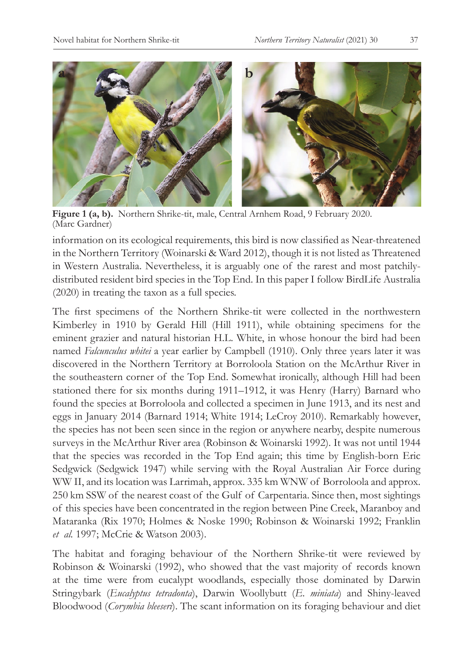

**Figure 1 (a, b).** Northern Shrike-tit, male, Central Arnhem Road, 9 February 2020. (Marc Gardner)

information on its ecological requirements, this bird is now classified as Near-threatened in the Northern Territory (Woinarski & Ward 2012), though it is not listed as Threatened in Western Australia. Nevertheless, it is arguably one of the rarest and most patchilydistributed resident bird species in the Top End. In this paper I follow BirdLife Australia (2020) in treating the taxon as a full species.

The first specimens of the Northern Shrike-tit were collected in the northwestern Kimberley in 1910 by Gerald Hill (Hill 1911), while obtaining specimens for the eminent grazier and natural historian H.L. White, in whose honour the bird had been named *Falcunculus whitei* a year earlier by Campbell (1910). Only three years later it was discovered in the Northern Territory at Borroloola Station on the McArthur River in the southeastern corner of the Top End. Somewhat ironically, although Hill had been stationed there for six months during 1911–1912, it was Henry (Harry) Barnard who found the species at Borroloola and collected a specimen in June 1913, and its nest and eggs in January 2014 (Barnard 1914; White 1914; LeCroy 2010). Remarkably however, the species has not been seen since in the region or anywhere nearby, despite numerous surveys in the McArthur River area (Robinson & Woinarski 1992). It was not until 1944 that the species was recorded in the Top End again; this time by English-born Eric Sedgwick (Sedgwick 1947) while serving with the Royal Australian Air Force during WW II, and its location was Larrimah, approx. 335 km WNW of Borroloola and approx. 250 km SSW of the nearest coast of the Gulf of Carpentaria. Since then, most sightings of this species have been concentrated in the region between Pine Creek, Maranboy and Mataranka (Rix 1970; Holmes & Noske 1990; Robinson & Woinarski 1992; Franklin *et al.* 1997; McCrie & Watson 2003).

The habitat and foraging behaviour of the Northern Shrike-tit were reviewed by Robinson & Woinarski (1992), who showed that the vast majority of records known at the time were from eucalypt woodlands, especially those dominated by Darwin Stringybark (*Eucalyptus tetradonta*), Darwin Woollybutt (*E. miniata*) and Shiny-leaved Bloodwood (*Corymbia bleeseri*). The scant information on its foraging behaviour and diet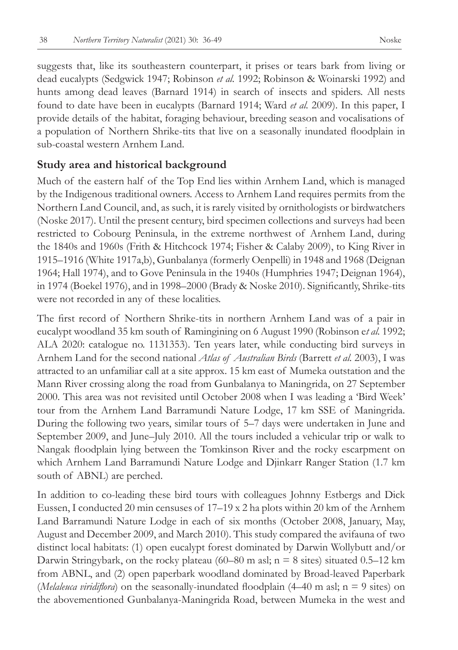suggests that, like its southeastern counterpart, it prises or tears bark from living or dead eucalypts (Sedgwick 1947; Robinson *et al.* 1992; Robinson & Woinarski 1992) and hunts among dead leaves (Barnard 1914) in search of insects and spiders. All nests found to date have been in eucalypts (Barnard 1914; Ward *et al.* 2009). In this paper, I provide details of the habitat, foraging behaviour, breeding season and vocalisations of a population of Northern Shrike-tits that live on a seasonally inundated floodplain in sub-coastal western Arnhem Land.

### **Study area and historical background**

Much of the eastern half of the Top End lies within Arnhem Land, which is managed by the Indigenous traditional owners. Access to Arnhem Land requires permits from the Northern Land Council, and, as such, it is rarely visited by ornithologists or birdwatchers (Noske 2017). Until the present century, bird specimen collections and surveys had been restricted to Cobourg Peninsula, in the extreme northwest of Arnhem Land, during the 1840s and 1960s (Frith & Hitchcock 1974; Fisher & Calaby 2009), to King River in 1915–1916 (White 1917a,b), Gunbalanya (formerly Oenpelli) in 1948 and 1968 (Deignan 1964; Hall 1974), and to Gove Peninsula in the 1940s (Humphries 1947; Deignan 1964), in 1974 (Boekel 1976), and in 1998–2000 (Brady & Noske 2010). Significantly, Shrike-tits were not recorded in any of these localities.

The first record of Northern Shrike-tits in northern Arnhem Land was of a pair in eucalypt woodland 35 km south of Ramingining on 6 August 1990 (Robinson e*t al.* 1992; ALA 2020: catalogue no. 1131353). Ten years later, while conducting bird surveys in Arnhem Land for the second national *Atlas of Australian Birds* (Barrett *et al.* 2003), I was attracted to an unfamiliar call at a site approx. 15 km east of Mumeka outstation and the Mann River crossing along the road from Gunbalanya to Maningrida, on 27 September 2000. This area was not revisited until October 2008 when I was leading a 'Bird Week' tour from the Arnhem Land Barramundi Nature Lodge, 17 km SSE of Maningrida. During the following two years, similar tours of 5–7 days were undertaken in June and September 2009, and June–July 2010. All the tours included a vehicular trip or walk to Nangak floodplain lying between the Tomkinson River and the rocky escarpment on which Arnhem Land Barramundi Nature Lodge and Djinkarr Ranger Station (1.7 km south of ABNL) are perched.

In addition to co-leading these bird tours with colleagues Johnny Estbergs and Dick Eussen, I conducted 20 min censuses of 17–19 x 2 ha plots within 20 km of the Arnhem Land Barramundi Nature Lodge in each of six months (October 2008, January, May, August and December 2009, and March 2010). This study compared the avifauna of two distinct local habitats: (1) open eucalypt forest dominated by Darwin Wollybutt and/or Darwin Stringybark, on the rocky plateau (60–80 m asl;  $n = 8$  sites) situated 0.5–12 km from ABNL, and (2) open paperbark woodland dominated by Broad-leaved Paperbark (*Melaleuca viridiflora*) on the seasonally-inundated floodplain  $(4-40 \text{ m as}!)$ ; n = 9 sites) on the abovementioned Gunbalanya-Maningrida Road, between Mumeka in the west and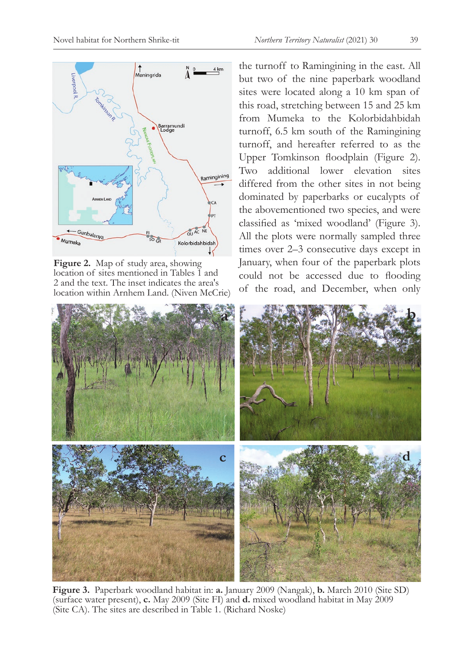



**Figure 2.** Map of study area, showing location of sites mentioned in Tables 1 and 2 and the text. The inset indicates the area's location within Arnhem Land. (Niven McCrie)

the turnoff to Ramingining in the east. All but two of the nine paperbark woodland sites were located along a 10 km span of this road, stretching between 15 and 25 km from Mumeka to the Kolorbidahbidah turnoff, 6.5 km south of the Ramingining turnoff, and hereafter referred to as the Upper Tomkinson floodplain (Figure 2). Two additional lower elevation sites differed from the other sites in not being dominated by paperbarks or eucalypts of the abovementioned two species, and were classified as 'mixed woodland' (Figure 3). All the plots were normally sampled three times over 2–3 consecutive days except in January, when four of the paperbark plots could not be accessed due to flooding of the road, and December, when only



**Figure 3.** Paperbark woodland habitat in: **a.** January 2009 (Nangak), **b.** March 2010 (Site SD) (surface water present), **c.** May 2009 (Site FI) and **d.** mixed woodland habitat in May 2009 (Site CA). The sites are described in Table 1. (Richard Noske)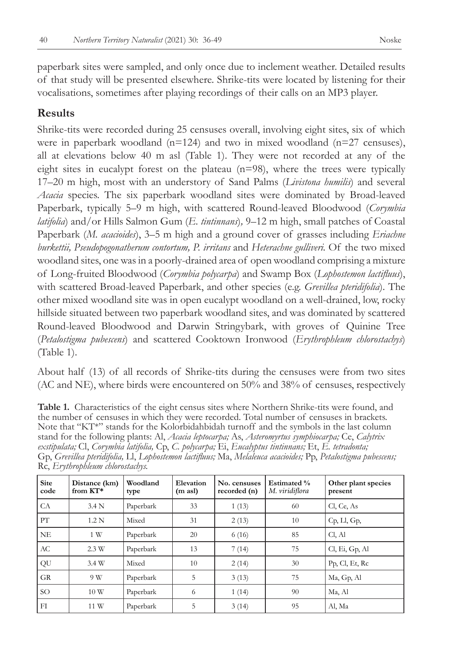paperbark sites were sampled, and only once due to inclement weather. Detailed results of that study will be presented elsewhere. Shrike-tits were located by listening for their vocalisations, sometimes after playing recordings of their calls on an MP3 player.

## **Results**

Shrike-tits were recorded during 25 censuses overall, involving eight sites, six of which were in paperbark woodland  $(n=124)$  and two in mixed woodland  $(n=27$  censuses), all at elevations below 40 m asl (Table 1). They were not recorded at any of the eight sites in eucalypt forest on the plateau  $(n=98)$ , where the trees were typically 17–20 m high, most with an understory of Sand Palms (*Livistona humilis*) and several *Acacia* species. The six paperbark woodland sites were dominated by Broad-leaved Paperbark, typically 5–9 m high, with scattered Round-leaved Bloodwood (*Corymbia latifolia*) and/or Hills Salmon Gum (*E. tintinnans*)*,* 9–12 m high, small patches of Coastal Paperbark (*M. acacioides*), 3–5 m high and a ground cover of grasses including *Eriachne burkettii, Pseudopogonatherum contortum, P. irritans* and *Heterachne gulliveri.* Of the two mixed woodland sites, one was in a poorly-drained area of open woodland comprising a mixture of Long-fruited Bloodwood (*Corymbia polycarpa*) and Swamp Box (*Lophostemon lactifluus*), with scattered Broad-leaved Paperbark, and other species (e.g. *Grevillea pteridifolia*). The other mixed woodland site was in open eucalypt woodland on a well-drained, low, rocky hillside situated between two paperbark woodland sites, and was dominated by scattered Round-leaved Bloodwood and Darwin Stringybark, with groves of Quinine Tree (*Petalostigma pubescens*) and scattered Cooktown Ironwood (*Erythrophleum chlorostachys*) (Table 1).

About half (13) of all records of Shrike-tits during the censuses were from two sites (AC and NE), where birds were encountered on 50% and 38% of censuses, respectively

**Table 1.** Characteristics of the eight census sites where Northern Shrike-tits were found, and the number of censuses in which they were recorded. Total number of censuses in brackets. Note that "KT\*" stands for the Kolorbidahbidah turnoff and the symbols in the last column stand for the following plants: Al, *Acacia leptocarpa;* As, *Asteromyrtus symphiocarpa;* Ce, *Calytrix exstipulata;* Cl, *Corymbia latifolia,* Cp, *C. polycarpa;* Ei, *Eucalyptus tintinnans;* Et, *E. tetradonta;*  Gp, *Grevillea pteridifolia,* Ll, *Lophostemon lactifluus;* Ma, *Melaleuca acacioides;* Pp, *Petalostigma pubescens;* Rc, *Erythrophleum chlorostachys.*

| <b>Site</b><br>code | Distance (km)<br>from $KT^*$ | Woodland<br>type | Elevation<br>$(m \text{ as} l)$ | No. censuses<br>recorded (n) | <b>Estimated %</b><br>M. viridiflora | Other plant species<br>present |
|---------------------|------------------------------|------------------|---------------------------------|------------------------------|--------------------------------------|--------------------------------|
| CA                  | 3.4 <sub>N</sub>             | Paperbark        | 33                              | 1(13)                        | 60                                   | Cl, Ce, As                     |
| PT                  | 1.2 <sub>N</sub>             | Mixed            | 31                              | 2(13)                        | 10                                   | Cp, Ll, Gp,                    |
| NE                  | 1 W                          | Paperbark        | 20                              | 6(16)                        | 85                                   | Cl, Al                         |
| AC                  | 2.3 W                        | Paperbark        | 13                              | 7(14)                        | 75                                   | Cl, Ei, Gp, Al                 |
| QU                  | 3.4 W                        | Mixed            | 10                              | 2(14)                        | 30                                   | Pp, Cl, Et, Rc                 |
| <b>GR</b>           | 9 W                          | Paperbark        | 5                               | 3(13)                        | 75                                   | Ma, Gp, Al                     |
| SO.                 | 10W                          | Paperbark        | 6                               | 1(14)                        | 90                                   | Ma, Al                         |
| FI                  | 11 W                         | Paperbark        | 5                               | 3(14)                        | 95                                   | Al, Ma                         |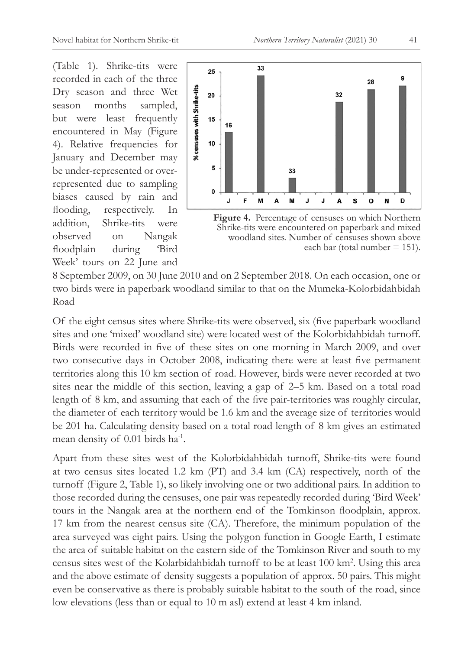(Table 1). Shrike-tits were recorded in each of the three Dry season and three Wet season months sampled, but were least frequently encountered in May (Figure 4). Relative frequencies for January and December may be under-represented or overrepresented due to sampling biases caused by rain and flooding, respectively. In addition, Shrike-tits were observed on Nangak floodplain during 'Bird Week' tours on 22 June and



**Figure 4.** Percentage of censuses on which Northern Shrike-tits were encountered on paperbark and mixed woodland sites. Number of censuses shown above each bar (total number  $= 151$ ).

8 September 2009, on 30 June 2010 and on 2 September 2018. On each occasion, one or two birds were in paperbark woodland similar to that on the Mumeka-Kolorbidahbidah Road

Of the eight census sites where Shrike-tits were observed, six (five paperbark woodland sites and one 'mixed' woodland site) were located west of the Kolorbidahbidah turnoff. Birds were recorded in five of these sites on one morning in March 2009, and over two consecutive days in October 2008, indicating there were at least five permanent territories along this 10 km section of road. However, birds were never recorded at two sites near the middle of this section, leaving a gap of 2–5 km. Based on a total road length of 8 km, and assuming that each of the five pair-territories was roughly circular, the diameter of each territory would be 1.6 km and the average size of territories would be 201 ha. Calculating density based on a total road length of 8 km gives an estimated mean density of 0.01 birds ha<sup>-1</sup>.

Apart from these sites west of the Kolorbidahbidah turnoff, Shrike-tits were found at two census sites located 1.2 km (PT) and 3.4 km (CA) respectively, north of the turnoff (Figure 2, Table 1), so likely involving one or two additional pairs. In addition to those recorded during the censuses, one pair was repeatedly recorded during 'Bird Week' tours in the Nangak area at the northern end of the Tomkinson floodplain, approx. 17 km from the nearest census site (CA). Therefore, the minimum population of the area surveyed was eight pairs. Using the polygon function in Google Earth, I estimate the area of suitable habitat on the eastern side of the Tomkinson River and south to my census sites west of the Kolarbidahbidah turnoff to be at least 100 km2 . Using this area and the above estimate of density suggests a population of approx. 50 pairs. This might even be conservative as there is probably suitable habitat to the south of the road, since low elevations (less than or equal to 10 m asl) extend at least 4 km inland.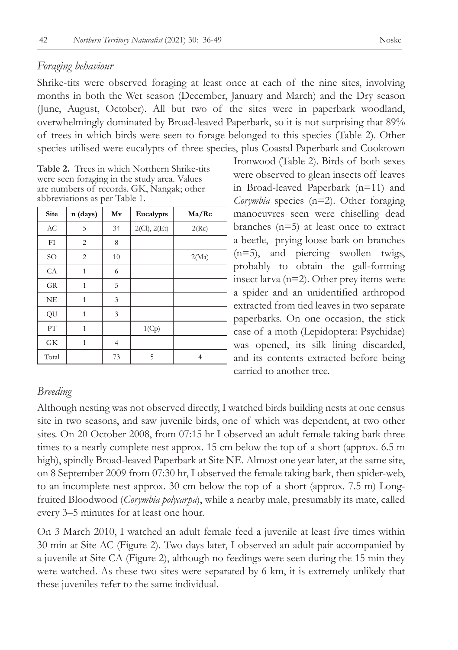#### *Foraging behaviour*

Shrike-tits were observed foraging at least once at each of the nine sites, involving months in both the Wet season (December, January and March) and the Dry season (June, August, October). All but two of the sites were in paperbark woodland, overwhelmingly dominated by Broad-leaved Paperbark, so it is not surprising that 89% of trees in which birds were seen to forage belonged to this species (Table 2). Other species utilised were eucalypts of three species, plus Coastal Paperbark and Cooktown

**Table 2.** Trees in which Northern Shrike-tits were seen foraging in the study area. Values are numbers of records. GK, Nangak; other abbreviations as per Table 1.

| Site       | n (days)       | Mv             | Eucalypts          | Ma/Rc          |
|------------|----------------|----------------|--------------------|----------------|
| AC         | 5              | 34             | $2$ (Cl), $2$ (Et) | 2(Rc)          |
| FI         | $\overline{c}$ | 8              |                    |                |
| SO         | $\overline{c}$ | 10             |                    | 2(Ma)          |
| CA         | 1              | 6              |                    |                |
| <b>GR</b>  | 1              | 5              |                    |                |
| NE         | 1              | 3              |                    |                |
| QU         | $\overline{1}$ | 3              |                    |                |
| ${\rm PT}$ | 1              |                | 1(Cp)              |                |
| GK         | 1              | $\overline{4}$ |                    |                |
| Total      |                | 73             | 5                  | $\overline{4}$ |

Ironwood (Table 2). Birds of both sexes were observed to glean insects off leaves in Broad-leaved Paperbark (n=11) and *Corymbia* species (n=2). Other foraging manoeuvres seen were chiselling dead branches (n=5) at least once to extract a beetle, prying loose bark on branches (n=5), and piercing swollen twigs, probably to obtain the gall-forming insect larva (n=2). Other prey items were a spider and an unidentified arthropod extracted from tied leaves in two separate paperbarks. On one occasion, the stick case of a moth (Lepidoptera: Psychidae) was opened, its silk lining discarded, and its contents extracted before being carried to another tree.

## *Breeding*

Although nesting was not observed directly, I watched birds building nests at one census site in two seasons, and saw juvenile birds, one of which was dependent, at two other sites. On 20 October 2008, from 07:15 hr I observed an adult female taking bark three times to a nearly complete nest approx. 15 cm below the top of a short (approx. 6.5 m high), spindly Broad-leaved Paperbark at Site NE. Almost one year later, at the same site, on 8 September 2009 from 07:30 hr, I observed the female taking bark, then spider-web, to an incomplete nest approx. 30 cm below the top of a short (approx. 7.5 m) Longfruited Bloodwood (*Corymbia polycarpa*), while a nearby male, presumably its mate, called every 3–5 minutes for at least one hour.

On 3 March 2010, I watched an adult female feed a juvenile at least five times within 30 min at Site AC (Figure 2). Two days later, I observed an adult pair accompanied by a juvenile at Site CA (Figure 2), although no feedings were seen during the 15 min they were watched. As these two sites were separated by 6 km, it is extremely unlikely that these juveniles refer to the same individual.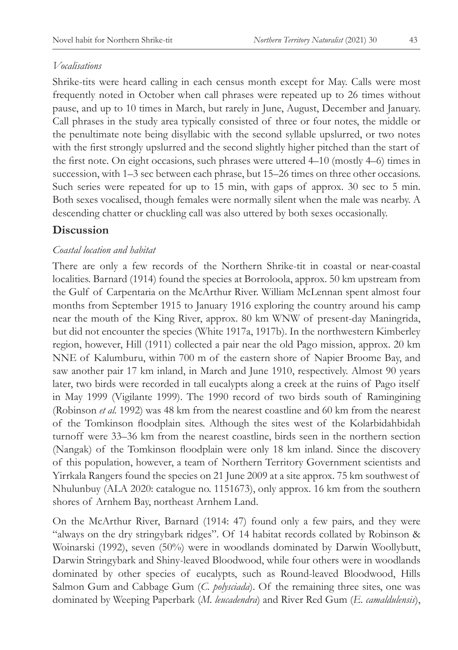#### *Vocalisations*

Shrike-tits were heard calling in each census month except for May. Calls were most frequently noted in October when call phrases were repeated up to 26 times without pause, and up to 10 times in March, but rarely in June, August, December and January. Call phrases in the study area typically consisted of three or four notes, the middle or the penultimate note being disyllabic with the second syllable upslurred, or two notes with the first strongly upslurred and the second slightly higher pitched than the start of the first note. On eight occasions, such phrases were uttered 4–10 (mostly 4–6) times in succession, with 1–3 sec between each phrase, but 15–26 times on three other occasions. Such series were repeated for up to 15 min, with gaps of approx. 30 sec to 5 min. Both sexes vocalised, though females were normally silent when the male was nearby. A descending chatter or chuckling call was also uttered by both sexes occasionally.

## **Discussion**

#### *Coastal location and habitat*

There are only a few records of the Northern Shrike-tit in coastal or near-coastal localities. Barnard (1914) found the species at Borroloola, approx. 50 km upstream from the Gulf of Carpentaria on the McArthur River. William McLennan spent almost four months from September 1915 to January 1916 exploring the country around his camp near the mouth of the King River, approx. 80 km WNW of present-day Maningrida, but did not encounter the species (White 1917a, 1917b). In the northwestern Kimberley region, however, Hill (1911) collected a pair near the old Pago mission, approx. 20 km NNE of Kalumburu, within 700 m of the eastern shore of Napier Broome Bay, and saw another pair 17 km inland, in March and June 1910, respectively. Almost 90 years later, two birds were recorded in tall eucalypts along a creek at the ruins of Pago itself in May 1999 (Vigilante 1999). The 1990 record of two birds south of Ramingining (Robinson *et al.* 1992) was 48 km from the nearest coastline and 60 km from the nearest of the Tomkinson floodplain sites. Although the sites west of the Kolarbidahbidah turnoff were 33–36 km from the nearest coastline, birds seen in the northern section (Nangak) of the Tomkinson floodplain were only 18 km inland. Since the discovery of this population, however, a team of Northern Territory Government scientists and Yirrkala Rangers found the species on 21 June 2009 at a site approx. 75 km southwest of Nhulunbuy (ALA 2020: catalogue no. 1151673), only approx. 16 km from the southern shores of Arnhem Bay, northeast Arnhem Land.

On the McArthur River, Barnard (1914: 47) found only a few pairs, and they were "always on the dry stringybark ridges". Of 14 habitat records collated by Robinson & Woinarski (1992), seven (50%) were in woodlands dominated by Darwin Woollybutt, Darwin Stringybark and Shiny-leaved Bloodwood, while four others were in woodlands dominated by other species of eucalypts, such as Round-leaved Bloodwood, Hills Salmon Gum and Cabbage Gum (*C. polysciada*). Of the remaining three sites, one was dominated by Weeping Paperbark (*M. leucadendra*) and River Red Gum (*E. camaldulensis*),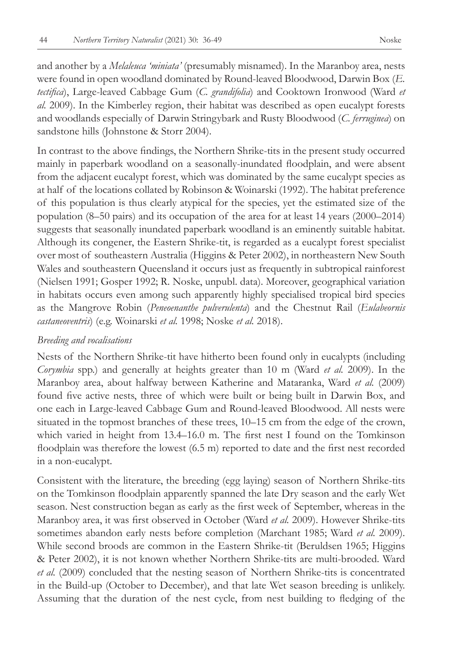and another by a *Melaleuca 'miniata'* (presumably misnamed). In the Maranboy area, nests were found in open woodland dominated by Round-leaved Bloodwood, Darwin Box (*E. tectifica*), Large-leaved Cabbage Gum (*C. grandifolia*) and Cooktown Ironwood (Ward *et al.* 2009). In the Kimberley region, their habitat was described as open eucalypt forests and woodlands especially of Darwin Stringybark and Rusty Bloodwood (*C. ferruginea*) on sandstone hills (Johnstone & Storr 2004).

In contrast to the above findings, the Northern Shrike-tits in the present study occurred mainly in paperbark woodland on a seasonally-inundated floodplain, and were absent from the adjacent eucalypt forest, which was dominated by the same eucalypt species as at half of the locations collated by Robinson & Woinarski (1992). The habitat preference of this population is thus clearly atypical for the species, yet the estimated size of the population (8–50 pairs) and its occupation of the area for at least 14 years (2000–2014) suggests that seasonally inundated paperbark woodland is an eminently suitable habitat. Although its congener, the Eastern Shrike-tit, is regarded as a eucalypt forest specialist over most of southeastern Australia (Higgins & Peter 2002), in northeastern New South Wales and southeastern Queensland it occurs just as frequently in subtropical rainforest (Nielsen 1991; Gosper 1992; R. Noske, unpubl. data). Moreover, geographical variation in habitats occurs even among such apparently highly specialised tropical bird species as the Mangrove Robin (*Peneoenanthe pulverulenta*) and the Chestnut Rail (*Eulabeornis castaneoventris*) (e.g. Woinarski *et al.* 1998; Noske *et al.* 2018).

#### *Breeding and vocalisations*

Nests of the Northern Shrike-tit have hitherto been found only in eucalypts (including *Corymbia* spp.) and generally at heights greater than 10 m (Ward *et al.* 2009). In the Maranboy area, about halfway between Katherine and Mataranka, Ward *et al.* (2009) found five active nests, three of which were built or being built in Darwin Box, and one each in Large-leaved Cabbage Gum and Round-leaved Bloodwood. All nests were situated in the topmost branches of these trees, 10–15 cm from the edge of the crown, which varied in height from 13.4–16.0 m. The first nest I found on the Tomkinson floodplain was therefore the lowest (6.5 m) reported to date and the first nest recorded in a non-eucalypt.

Consistent with the literature, the breeding (egg laying) season of Northern Shrike-tits on the Tomkinson floodplain apparently spanned the late Dry season and the early Wet season. Nest construction began as early as the first week of September, whereas in the Maranboy area, it was first observed in October (Ward *et al.* 2009). However Shrike-tits sometimes abandon early nests before completion (Marchant 1985; Ward *et al.* 2009). While second broods are common in the Eastern Shrike-tit (Beruldsen 1965; Higgins & Peter 2002), it is not known whether Northern Shrike-tits are multi-brooded. Ward *et al.* (2009) concluded that the nesting season of Northern Shrike-tits is concentrated in the Build-up (October to December), and that late Wet season breeding is unlikely. Assuming that the duration of the nest cycle, from nest building to fledging of the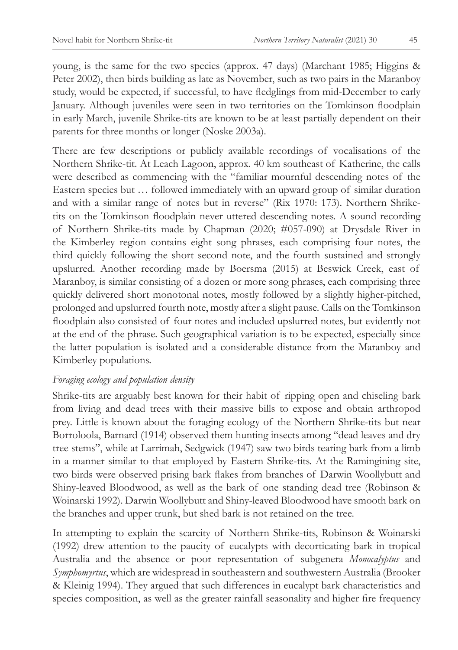young, is the same for the two species (approx. 47 days) (Marchant 1985; Higgins & Peter 2002), then birds building as late as November, such as two pairs in the Maranboy study, would be expected, if successful, to have fledglings from mid-December to early January. Although juveniles were seen in two territories on the Tomkinson floodplain in early March, juvenile Shrike-tits are known to be at least partially dependent on their parents for three months or longer (Noske 2003a).

There are few descriptions or publicly available recordings of vocalisations of the Northern Shrike-tit. At Leach Lagoon, approx. 40 km southeast of Katherine, the calls were described as commencing with the "familiar mournful descending notes of the Eastern species but … followed immediately with an upward group of similar duration and with a similar range of notes but in reverse" (Rix 1970: 173). Northern Shriketits on the Tomkinson floodplain never uttered descending notes. A sound recording of Northern Shrike-tits made by Chapman (2020; #057-090) at Drysdale River in the Kimberley region contains eight song phrases, each comprising four notes, the third quickly following the short second note, and the fourth sustained and strongly upslurred. Another recording made by Boersma (2015) at Beswick Creek, east of Maranboy, is similar consisting of a dozen or more song phrases, each comprising three quickly delivered short monotonal notes, mostly followed by a slightly higher-pitched, prolonged and upslurred fourth note, mostly after a slight pause. Calls on the Tomkinson floodplain also consisted of four notes and included upslurred notes, but evidently not at the end of the phrase. Such geographical variation is to be expected, especially since the latter population is isolated and a considerable distance from the Maranboy and Kimberley populations.

# *Foraging ecology and population density*

Shrike-tits are arguably best known for their habit of ripping open and chiseling bark from living and dead trees with their massive bills to expose and obtain arthropod prey. Little is known about the foraging ecology of the Northern Shrike-tits but near Borroloola, Barnard (1914) observed them hunting insects among "dead leaves and dry tree stems", while at Larrimah, Sedgwick (1947) saw two birds tearing bark from a limb in a manner similar to that employed by Eastern Shrike-tits. At the Ramingining site, two birds were observed prising bark flakes from branches of Darwin Woollybutt and Shiny-leaved Bloodwood, as well as the bark of one standing dead tree (Robinson & Woinarski 1992). Darwin Woollybutt and Shiny-leaved Bloodwood have smooth bark on the branches and upper trunk, but shed bark is not retained on the tree.

In attempting to explain the scarcity of Northern Shrike-tits, Robinson & Woinarski (1992) drew attention to the paucity of eucalypts with decorticating bark in tropical Australia and the absence or poor representation of subgenera *Monocalyptus* and *Symphomyrtus*, which are widespread in southeastern and southwestern Australia (Brooker & Kleinig 1994). They argued that such differences in eucalypt bark characteristics and species composition, as well as the greater rainfall seasonality and higher fire frequency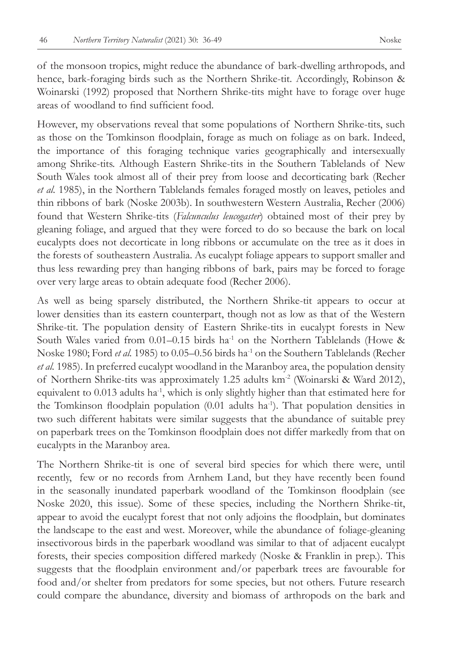of the monsoon tropics, might reduce the abundance of bark-dwelling arthropods, and hence, bark-foraging birds such as the Northern Shrike-tit. Accordingly, Robinson & Woinarski (1992) proposed that Northern Shrike-tits might have to forage over huge areas of woodland to find sufficient food.

However, my observations reveal that some populations of Northern Shrike-tits, such as those on the Tomkinson floodplain, forage as much on foliage as on bark. Indeed, the importance of this foraging technique varies geographically and intersexually among Shrike-tits. Although Eastern Shrike-tits in the Southern Tablelands of New South Wales took almost all of their prey from loose and decorticating bark (Recher *et al.* 1985), in the Northern Tablelands females foraged mostly on leaves, petioles and thin ribbons of bark (Noske 2003b). In southwestern Western Australia, Recher (2006) found that Western Shrike-tits (*Falcunculus leucogaster*) obtained most of their prey by gleaning foliage, and argued that they were forced to do so because the bark on local eucalypts does not decorticate in long ribbons or accumulate on the tree as it does in the forests of southeastern Australia. As eucalypt foliage appears to support smaller and thus less rewarding prey than hanging ribbons of bark, pairs may be forced to forage over very large areas to obtain adequate food (Recher 2006).

As well as being sparsely distributed, the Northern Shrike-tit appears to occur at lower densities than its eastern counterpart, though not as low as that of the Western Shrike-tit. The population density of Eastern Shrike-tits in eucalypt forests in New South Wales varied from  $0.01-0.15$  birds ha<sup>-1</sup> on the Northern Tablelands (Howe & Noske 1980; Ford *et al.* 1985) to 0.05–0.56 birds ha<sup>-1</sup> on the Southern Tablelands (Recher *et al.* 1985). In preferred eucalypt woodland in the Maranboy area, the population density of Northern Shrike-tits was approximately 1.25 adults km-2 (Woinarski & Ward 2012), equivalent to  $0.013$  adults ha<sup>-1</sup>, which is only slightly higher than that estimated here for the Tomkinson floodplain population  $(0.01 \text{ adults ha}^{-1})$ . That population densities in two such different habitats were similar suggests that the abundance of suitable prey on paperbark trees on the Tomkinson floodplain does not differ markedly from that on eucalypts in the Maranboy area.

The Northern Shrike-tit is one of several bird species for which there were, until recently, few or no records from Arnhem Land, but they have recently been found in the seasonally inundated paperbark woodland of the Tomkinson floodplain (see Noske 2020, this issue). Some of these species, including the Northern Shrike-tit, appear to avoid the eucalypt forest that not only adjoins the floodplain, but dominates the landscape to the east and west. Moreover, while the abundance of foliage-gleaning insectivorous birds in the paperbark woodland was similar to that of adjacent eucalypt forests, their species composition differed markedy (Noske & Franklin in prep.). This suggests that the floodplain environment and/or paperbark trees are favourable for food and/or shelter from predators for some species, but not others. Future research could compare the abundance, diversity and biomass of arthropods on the bark and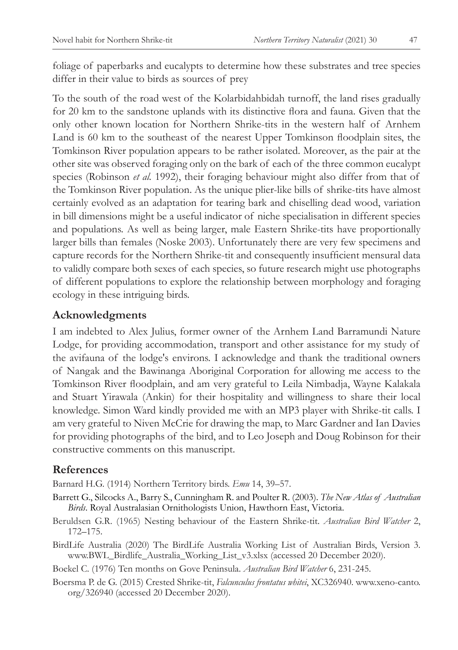foliage of paperbarks and eucalypts to determine how these substrates and tree species differ in their value to birds as sources of prey

To the south of the road west of the Kolarbidahbidah turnoff, the land rises gradually for 20 km to the sandstone uplands with its distinctive flora and fauna. Given that the only other known location for Northern Shrike-tits in the western half of Arnhem Land is 60 km to the southeast of the nearest Upper Tomkinson floodplain sites, the Tomkinson River population appears to be rather isolated. Moreover, as the pair at the other site was observed foraging only on the bark of each of the three common eucalypt species (Robinson *et al.* 1992), their foraging behaviour might also differ from that of the Tomkinson River population. As the unique plier-like bills of shrike-tits have almost certainly evolved as an adaptation for tearing bark and chiselling dead wood, variation in bill dimensions might be a useful indicator of niche specialisation in different species and populations. As well as being larger, male Eastern Shrike-tits have proportionally larger bills than females (Noske 2003). Unfortunately there are very few specimens and capture records for the Northern Shrike-tit and consequently insufficient mensural data to validly compare both sexes of each species, so future research might use photographs of different populations to explore the relationship between morphology and foraging ecology in these intriguing birds.

## **Acknowledgments**

I am indebted to Alex Julius, former owner of the Arnhem Land Barramundi Nature Lodge, for providing accommodation, transport and other assistance for my study of the avifauna of the lodge's environs. I acknowledge and thank the traditional owners of Nangak and the Bawinanga Aboriginal Corporation for allowing me access to the Tomkinson River floodplain, and am very grateful to Leila Nimbadja, Wayne Kalakala and Stuart Yirawala (Ankin) for their hospitality and willingness to share their local knowledge. Simon Ward kindly provided me with an MP3 player with Shrike-tit calls. I am very grateful to Niven McCrie for drawing the map, to Marc Gardner and Ian Davies for providing photographs of the bird, and to Leo Joseph and Doug Robinson for their constructive comments on this manuscript.

## **References**

Barnard H.G. (1914) Northern Territory birds. *Emu* 14, 39–57.

- Barrett G., Silcocks A., Barry S., Cunningham R. and Poulter R. (2003). *The New Atlas of Australian Birds*. Royal Australasian Ornithologists Union, Hawthorn East, Victoria.
- Beruldsen G.R. (1965) Nesting behaviour of the Eastern Shrike-tit. *Australian Bird Watcher* 2, 172–175.
- BirdLife Australia (2020) The BirdLife Australia Working List of Australian Birds, Version 3. www.BWL\_Birdlife\_Australia\_Working\_List\_v3.xlsx (accessed 20 December 2020).
- Boekel C. (1976) Ten months on Gove Peninsula. *Australian Bird Watcher* 6, 231-245.
- Boersma P. de G. (2015) Crested Shrike-tit, *Falcunculus frontatus whitei*, XC326940. www.xeno-canto. org/326940 (accessed 20 December 2020).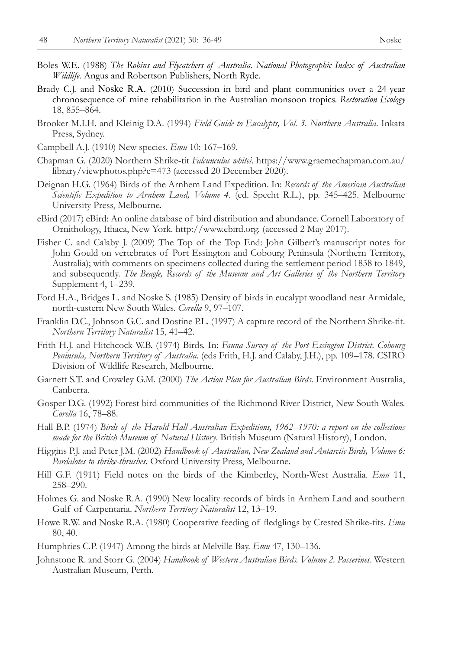- Boles W.E. (1988) *The Robins and Flycatchers of Australia. National Photographic Index of Australian Wildlife.* Angus and Robertson Publishers, North Ryde.
- Brady C.J. and Noske R.A. (2010) Succession in bird and plant communities over a 24-year chronosequence of mine rehabilitation in the Australian monsoon tropics. *Restoration Ecology* 18, 855–864.
- Brooker M.I.H. and Kleinig D.A. (1994) *Field Guide to Eucalypts, Vol. 3. Northern Australia*. Inkata Press, Sydney.
- Campbell A.J. (1910) New species. *Emu* 10: 167*–*169.
- Chapman G. (2020) Northern Shrike-tit *Falcunculus whitei*. https://www.graemechapman.com.au/ library/viewphotos.php?c=473 (accessed 20 December 2020).
- Deignan H.G. (1964) Birds of the Arnhem Land Expedition. In: *Records of the American Australian Scientific Expedition to Arnhem Land, Volume 4*. (ed. Specht R.L.), pp. 345–425. Melbourne University Press, Melbourne.
- eBird (2017) eBird: An online database of bird distribution and abundance. Cornell Laboratory of Ornithology, Ithaca, New York. http://www.ebird.org. (accessed 2 May 2017).
- Fisher C. and Calaby J. (2009) The Top of the Top End: John Gilbert's manuscript notes for John Gould on vertebrates of Port Essington and Cobourg Peninsula (Northern Territory, Australia); with comments on specimens collected during the settlement period 1838 to 1849, and subsequently. *The Beagle, Records of the Museum and Art Galleries of the Northern Territory* Supplement 4, 1–239.
- Ford H.A., Bridges L. and Noske S. (1985) Density of birds in eucalypt woodland near Armidale, north-eastern New South Wales. *Corella* 9, 97–107.
- Franklin D.C., Johnson G.C. and Dostine P.L. (1997) A capture record of the Northern Shrike-tit. *Northern Territory Naturalist* 15, 41–42.
- Frith H.J. and Hitchcock W.B. (1974) Birds. In: *Fauna Survey of the Port Essington District, Cobourg Peninsula, Northern Territory of Australia*. (eds Frith, H.J. and Calaby, J.H.), pp. 109–178. CSIRO Division of Wildlife Research, Melbourne.
- Garnett S.T. and Crowley G.M. (2000) *The Action Plan for Australian Birds*. Environment Australia, Canberra.
- Gosper D.G. (1992) Forest bird communities of the Richmond River District, New South Wales. *Corella* 16, 78–88.
- Hall B.P. (1974) *Birds of the Harold Hall Australian Expeditions, 1962–1970: a report on the collections made for the British Museum of Natural History*. British Museum (Natural History), London.
- Higgins P.J. and Peter J.M. (2002) *Handbook of Australian, New Zealand and Antarctic Birds, Volume 6: Pardalotes to shrike-thrushes*. Oxford University Press, Melbourne.
- Hill G.F. (1911) Field notes on the birds of the Kimberley, North-West Australia. *Emu* 11, 258–290.
- Holmes G. and Noske R.A. (1990) New locality records of birds in Arnhem Land and southern Gulf of Carpentaria. *Northern Territory Naturalist* 12, 13–19.
- Howe R.W. and Noske R.A. (1980) Cooperative feeding of fledglings by Crested Shrike-tits. *Emu* 80, 40.
- Humphries C.P. (1947) Among the birds at Melville Bay. *Emu* 47, 130–136.
- Johnstone R. and Storr G. (2004) *Handbook of Western Australian Birds. Volume 2. Passerines*. Western Australian Museum, Perth.